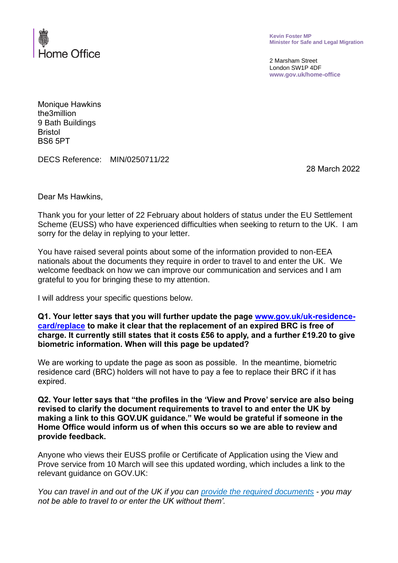

**Kevin Foster MP Minister for Safe and Legal Migration**

2 Marsham Street London SW1P 4DF **www.gov.uk/home-office**

Monique Hawkins the3million 9 Bath Buildings Bristol BS6 5PT

DECS Reference: MIN/0250711/22

28 March 2022

Dear Ms Hawkins,

Thank you for your letter of 22 February about holders of status under the EU Settlement Scheme (EUSS) who have experienced difficulties when seeking to return to the UK. I am sorry for the delay in replying to your letter.

You have raised several points about some of the information provided to non-EEA nationals about the documents they require in order to travel to and enter the UK. We welcome feedback on how we can improve our communication and services and I am grateful to you for bringing these to my attention.

I will address your specific questions below.

**Q1. Your letter says that you will further update the page [www.gov.uk/uk-residence](http://www.gov.uk/uk-residence-card/replace)[card/replace](http://www.gov.uk/uk-residence-card/replace) to make it clear that the replacement of an expired BRC is free of charge. It currently still states that it costs £56 to apply, and a further £19.20 to give biometric information. When will this page be updated?**

We are working to update the page as soon as possible. In the meantime, biometric residence card (BRC) holders will not have to pay a fee to replace their BRC if it has expired.

**Q2. Your letter says that "the profiles in the 'View and Prove' service are also being revised to clarify the document requirements to travel to and enter the UK by making a link to this GOV.UK guidance." We would be grateful if someone in the Home Office would inform us of when this occurs so we are able to review and provide feedback.**

Anyone who views their EUSS profile or Certificate of Application using the View and Prove service from 10 March will see this updated wording, which includes a link to the relevant guidance on GOV.UK:

*You can travel in and out of the UK if you can [provide the required documents](https://gbr01.safelinks.protection.outlook.com/?url=https%3A%2F%2Fwww.gov.uk%2Fgovernment%2Fpublications%2Fentering-the-uk-under-the-eu-settlement-scheme-and-eu-settlement-scheme-family-permit&data=04%7C01%7CSam.Murray%40homeoffice.gov.uk%7Cdeab2954657b414dde6e08da09007056%7Cf24d93ecb2914192a08af182245945c2%7C0%7C0%7C637832194729941903%7CUnknown%7CTWFpbGZsb3d8eyJWIjoiMC4wLjAwMDAiLCJQIjoiV2luMzIiLCJBTiI6Ik1haWwiLCJXVCI6Mn0%3D%7C3000&sdata=8x%2BISwsmEOIbzXxfd6q%2BrzBETm4ogWhmZmx8ORXuhlw%3D&reserved=0) - you may not be able to travel to or enter the UK without them'.*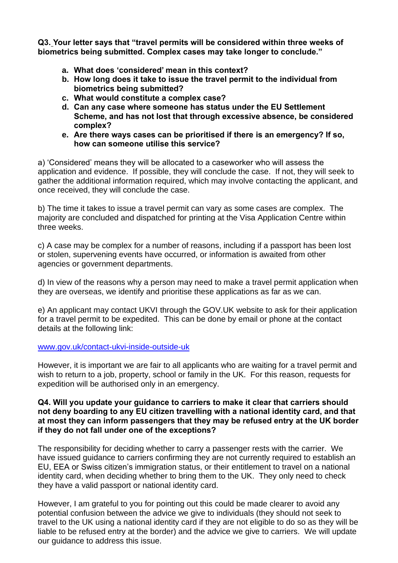**Q3. Your letter says that "travel permits will be considered within three weeks of biometrics being submitted. Complex cases may take longer to conclude."**

- **a. What does 'considered' mean in this context?**
- **b. How long does it take to issue the travel permit to the individual from biometrics being submitted?**
- **c. What would constitute a complex case?**
- **d. Can any case where someone has status under the EU Settlement Scheme, and has not lost that through excessive absence, be considered complex?**
- **e. Are there ways cases can be prioritised if there is an emergency? If so, how can someone utilise this service?**

a) 'Considered' means they will be allocated to a caseworker who will assess the application and evidence. If possible, they will conclude the case. If not, they will seek to gather the additional information required, which may involve contacting the applicant, and once received, they will conclude the case.

b) The time it takes to issue a travel permit can vary as some cases are complex. The majority are concluded and dispatched for printing at the Visa Application Centre within three weeks.

c) A case may be complex for a number of reasons, including if a passport has been lost or stolen, supervening events have occurred, or information is awaited from other agencies or government departments.

d) In view of the reasons why a person may need to make a travel permit application when they are overseas, we identify and prioritise these applications as far as we can.

e) An applicant may contact UKVI through the GOV.UK website to ask for their application for a travel permit to be expedited. This can be done by email or phone at the contact details at the following link:

## [www.gov.uk/contact-ukvi-inside-outside-uk](https://www.gov.uk/contact-ukvi-inside-outside-uk)

However, it is important we are fair to all applicants who are waiting for a travel permit and wish to return to a job, property, school or family in the UK. For this reason, requests for expedition will be authorised only in an emergency.

## **Q4. Will you update your guidance to carriers to make it clear that carriers should not deny boarding to any EU citizen travelling with a national identity card, and that at most they can inform passengers that they may be refused entry at the UK border if they do not fall under one of the exceptions?**

The responsibility for deciding whether to carry a passenger rests with the carrier. We have issued guidance to carriers confirming they are not currently required to establish an EU, EEA or Swiss citizen's immigration status, or their entitlement to travel on a national identity card, when deciding whether to bring them to the UK. They only need to check they have a valid passport or national identity card.

However, I am grateful to you for pointing out this could be made clearer to avoid any potential confusion between the advice we give to individuals (they should not seek to travel to the UK using a national identity card if they are not eligible to do so as they will be liable to be refused entry at the border) and the advice we give to carriers. We will update our guidance to address this issue.